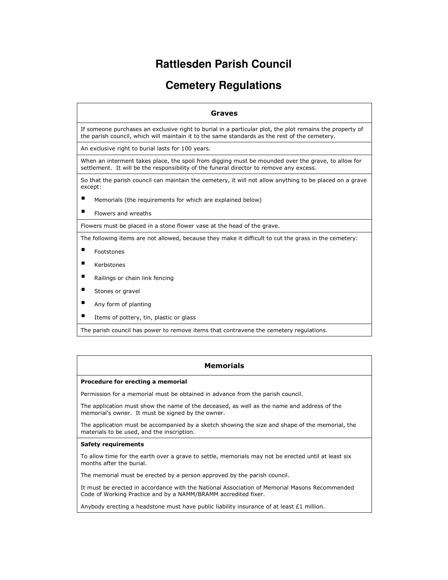# **Rattlesden Parish Council**

# **Cemetery Regulations**

| Graves                                                                                                                                                                                                    |
|-----------------------------------------------------------------------------------------------------------------------------------------------------------------------------------------------------------|
| If someone purchases an exclusive right to burial in a particular plot, the plot remains the property of<br>the parish council, which will maintain it to the same standards as the rest of the cemetery. |
| An exclusive right to burial lasts for 100 years.                                                                                                                                                         |
| When an interment takes place, the spoil from digging must be mounded over the grave, to allow for<br>settlement. It will be the responsibility of the funeral director to remove any excess.             |
| So that the parish council can maintain the cemetery, it will not allow anything to be placed on a grave<br>except:                                                                                       |
| п<br>Memorials (the requirements for which are explained below)                                                                                                                                           |
| п<br>Flowers and wreaths                                                                                                                                                                                  |
| Flowers must be placed in a stone flower vase at the head of the grave.                                                                                                                                   |
| The following items are not allowed, because they make it difficult to cut the grass in the cemetery:                                                                                                     |
| ٠<br>Footstones                                                                                                                                                                                           |
| ٠<br>Kerbstones                                                                                                                                                                                           |
| ٠<br>Railings or chain link fencing                                                                                                                                                                       |
| п<br>Stones or gravel                                                                                                                                                                                     |
| ٠<br>Any form of planting                                                                                                                                                                                 |
| ٠<br>Items of pottery, tin, plastic or glass                                                                                                                                                              |

The parish council has power to remove items that contravene the cemetery regulations.

### Memorials

### Procedure for erecting a memorial

Permission for a memorial must be obtained in advance from the parish council.

The application must show the name of the deceased, as well as the name and address of the memorial's owner. It must be signed by the owner.

The application must be accompanied by a sketch showing the size and shape of the memorial, the materials to be used, and the inscription.

#### Safety requirements

To allow time for the earth over a grave to settle, memorials may not be erected until at least six months after the burial.

The memorial must be erected by a person approved by the parish council.

It must be erected in accordance with the National Association of Memorial Masons Recommended Code of Working Practice and by a NAMM/BRAMM accredited fixer.

Anybody erecting a headstone must have public liability insurance of at least  $£1$  million.